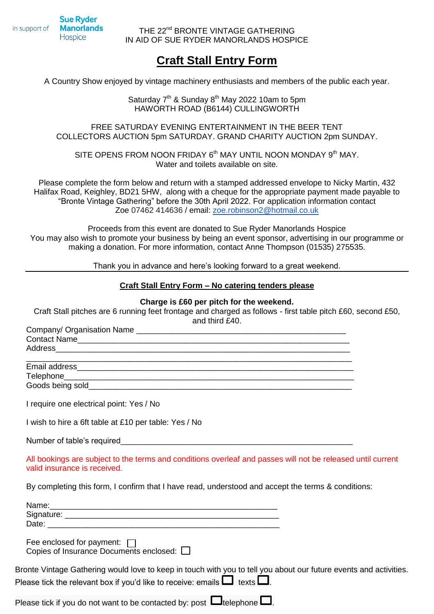**Sue Ryder Manorlands** in support of Hospice

Company/ Organisation Name

THE 22<sup>nd</sup> BRONTE VINTAGE GATHERING IN AID OF SUE RYDER MANORLANDS HOSPICE

# **Craft Stall Entry Form**

A Country Show enjoyed by vintage machinery enthusiasts and members of the public each year.

Saturday  $7<sup>th</sup>$  & Sunday  $8<sup>th</sup>$  May 2022 10am to 5pm HAWORTH ROAD (B6144) CULLINGWORTH

FREE SATURDAY EVENING ENTERTAINMENT IN THE BEER TENT COLLECTORS AUCTION 5pm SATURDAY. GRAND CHARITY AUCTION 2pm SUNDAY.

SITE OPENS FROM NOON FRIDAY 6<sup>th</sup> MAY UNTIL NOON MONDAY 9<sup>th</sup> MAY. Water and toilets available on site.

Please complete the form below and return with a stamped addressed envelope to Nicky Martin, 432 Halifax Road, Keighley, BD21 5HW, along with a cheque for the appropriate payment made payable to "Bronte Vintage Gathering" before the 30th April 2022. For application information contact Zoe 07462 414636 / email: [zoe.robinson2@hotmail.co.uk](mailto:zoe.robinson2@hotmail.co.uk)

Proceeds from this event are donated to Sue Ryder Manorlands Hospice You may also wish to promote your business by being an event sponsor, advertising in our programme or making a donation. For more information, contact Anne Thompson (01535) 275535.

Thank you in advance and here's looking forward to a great weekend.

## **Craft Stall Entry Form – No catering tenders please**

### **Charge is £60 per pitch for the weekend.**

Craft Stall pitches are 6 running feet frontage and charged as follows - first table pitch £60, second £50, and third £40.

| I require one electrical point: Yes / No                                                                                                    |  |
|---------------------------------------------------------------------------------------------------------------------------------------------|--|
| I wish to hire a 6ft table at £10 per table: Yes / No                                                                                       |  |
|                                                                                                                                             |  |
| All bookings are subject to the terms and conditions overleaf and passes will not be released until current<br>valid insurance is received. |  |
| By completing this form, I confirm that I have read, understood and accept the terms & conditions:                                          |  |
|                                                                                                                                             |  |
|                                                                                                                                             |  |
|                                                                                                                                             |  |
|                                                                                                                                             |  |
| Fee enclosed for payment: $\Box$                                                                                                            |  |
| Copies of Insurance Documents enclosed: $\Box$                                                                                              |  |
| Bronte Vintage Gathering would love to keep in touch with you to tell you about our future events and activities.                           |  |
| Please tick the relevant box if you'd like to receive: emails $\Box$ texts $\Box$ .                                                         |  |
|                                                                                                                                             |  |

Please tick if you do not want to be contacted by: post  $\Box$  telephone  $\Box$